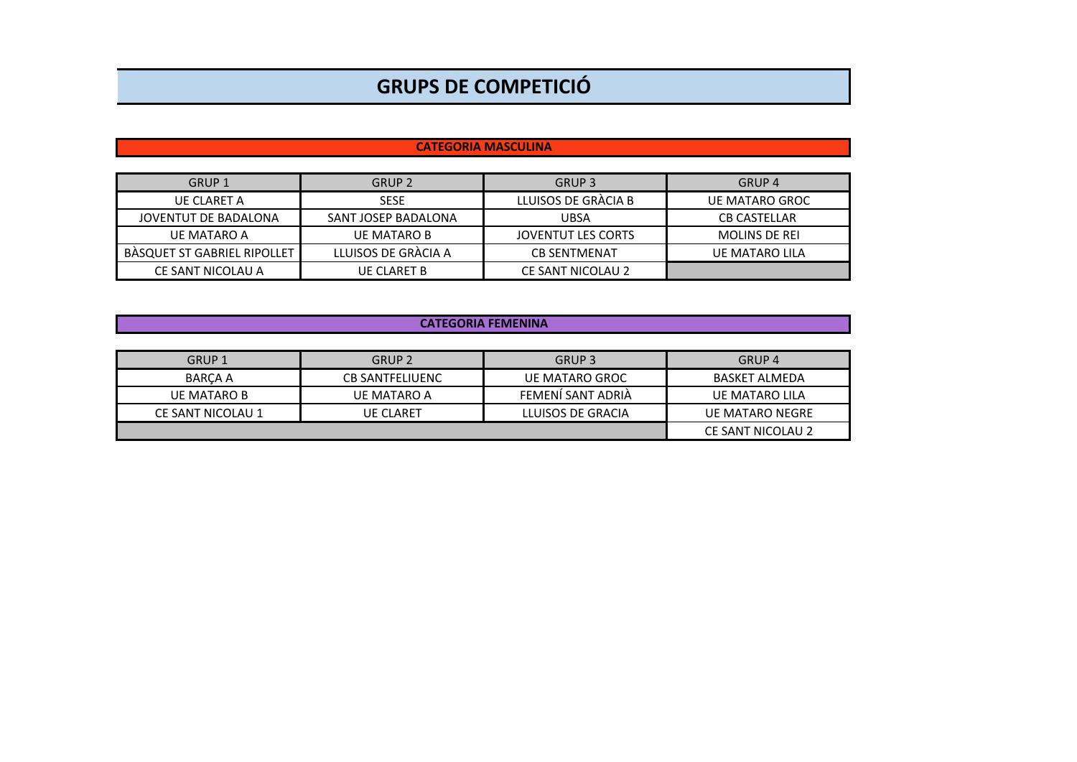## **GRUPS DE COMPETICIÓ**

## **CATEGORIA MASCULINA**

| GRUP 1                             | <b>GRUP 2</b>       | GRUP 3              | GRUP <sub>4</sub>    |  |
|------------------------------------|---------------------|---------------------|----------------------|--|
| UE CLARET A                        | <b>SESE</b>         | LLUISOS DE GRÀCIA B | UE MATARO GROC       |  |
| JOVENTUT DE BADALONA               | SANT JOSEP BADALONA | <b>UBSA</b>         | <b>CB CASTELLAR</b>  |  |
| UE MATARO A                        | <b>UE MATARO B</b>  | JOVENTUT LES CORTS  | <b>MOLINS DE REI</b> |  |
| <b>BASQUET ST GABRIEL RIPOLLET</b> | LLUISOS DE GRÀCIA A | <b>CB SENTMENAT</b> | UE MATARO LILA       |  |
| CE SANT NICOLAU A                  | <b>UE CLARET B</b>  | CE SANT NICOLAU 2   |                      |  |

## **CATEGORIA FEMENINA**

| GRUP 1            | GRUP <sub>2</sub>      | GRUP <sub>3</sub> | GRUP <sub>4</sub>      |  |
|-------------------|------------------------|-------------------|------------------------|--|
| BARCA A           | <b>CB SANTFELIUENC</b> | UE MATARO GROC    | BASKET ALMEDA          |  |
| UE MATARO B       | UE MATARO A            | FEMENI SANT ADRIA | UE MATARO LILA         |  |
| CE SANT NICOLAU 1 | <b>UE CLARET</b>       | LLUISOS DE GRACIA | <b>UE MATARO NEGRE</b> |  |
|                   |                        |                   | CE SANT NICOLAU 2      |  |